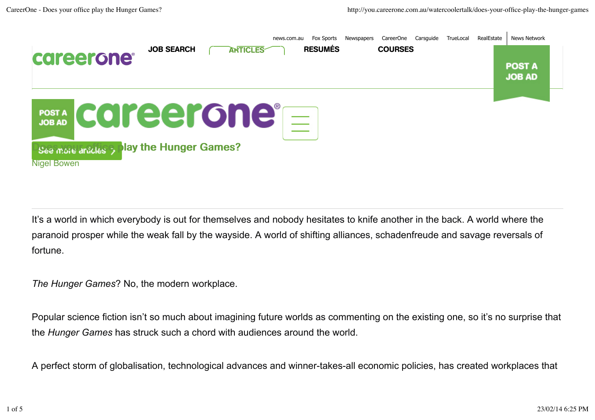

It's a world in which everybody is out for themselves and nobody hesitates to knife another in the back. A world where the paranoid prosper while the weak fall by the wayside. A world of shifting alliances, schadenfreude and savage reversals of fortune.

*The Hunger Games*? No, the modern workplace.

Popular science fiction isn't so much about imagining future worlds as commenting on the existing one, so it's no surprise that the *Hunger Games* has struck such a chord with audiences around the world.

A perfect storm of globalisation, technological advances and winner-takes-all economic policies, has created workplaces that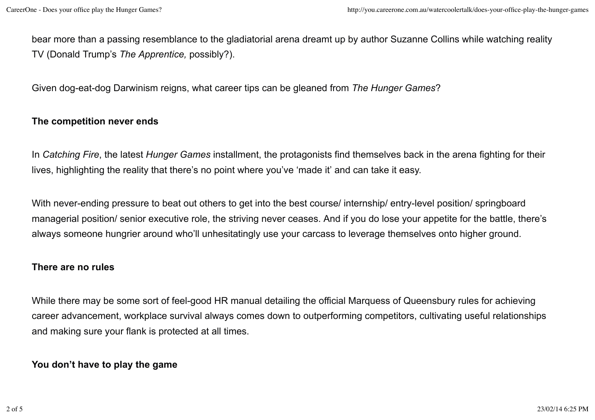bear more than a passing resemblance to the gladiatorial arena dreamt up by author Suzanne Collins while watching reality TV (Donald Trump's *The Apprentice,* possibly?).

Given dog-eat-dog Darwinism reigns, what career tips can be gleaned from *The Hunger Games*?

# **The competition never ends**

In *Catching Fire*, the latest *Hunger Games* installment, the protagonists find themselves back in the arena fighting for their lives, highlighting the reality that there's no point where you've 'made it' and can take it easy.

With never-ending pressure to beat out others to get into the best course/ internship/ entry-level position/ springboard managerial position/ senior executive role, the striving never ceases. And if you do lose your appetite for the battle, there's always someone hungrier around who'll unhesitatingly use your carcass to leverage themselves onto higher ground.

## **There are no rules**

While there may be some sort of feel-good HR manual detailing the official Marquess of Queensbury rules for achieving career advancement, workplace survival always comes down to outperforming competitors, cultivating useful relationships and making sure your flank is protected at all times.

## **You don't have to play the game**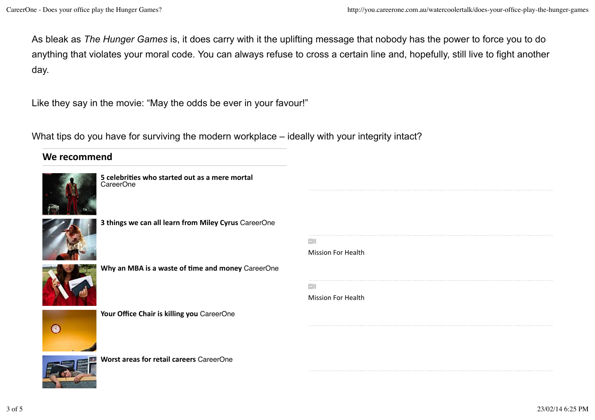As bleak as *The Hunger Games* is, it does carry with it the uplifting message that nobody has the power to force you to do anything that violates your moral code. You can always refuse to cross a certain line and, hopefully, still live to fight another day.

Like they say in the movie: "May the odds be ever in your favour!"

What tips do you have for surviving the modern workplace – ideally with your integrity intact?

# We recommend



**5** celebrities who started out as a mere mortal CareerOne



**3 things we can all learn from Miley Cyrus** CareerOne

ŒΣ

ΞT



**Why an MBA is a waste of time and money** CareerOne



Your Office Chair is killing you CareerOne





**Worst areas for retail careers** CareerOne

| Mission For Health |  |  |
|--------------------|--|--|
|                    |  |  |

**Mission For Health**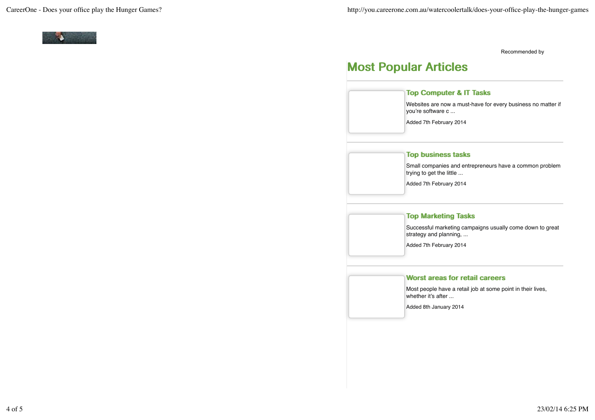

Recommended by

# Most Popular Articles

### Top Computer & IT Tasks

Websites are now a must-have for every business no matter if you're software c ...

Added 7th February 2014

## Top business tasks

Small companies and entrepreneurs have a common problem trying to get the little ...

Added 7th February 2014

## **Top Marketing Tasks**

Successful marketing campaigns usually come down to great strategy and planning, ...

Added 7th February 2014

#### Worst areas for retail careers

Most people have a retail job at some point in their lives, whether it's after ...

Added 8th January 2014